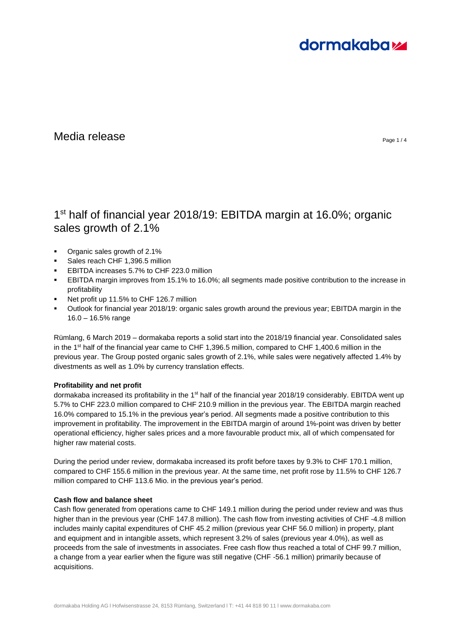# **dormakabazz**

# $\blacksquare$ Media release  $\blacksquare$

# 1<sup>st</sup> half of financial year 2018/19: EBITDA margin at 16.0%; organic sales growth of 2.1%

- Organic sales growth of 2.1%
- Sales reach CHF 1,396.5 million
- EBITDA increases 5.7% to CHF 223.0 million
- EBITDA margin improves from 15.1% to 16.0%; all segments made positive contribution to the increase in profitability
- Net profit up 11.5% to CHF 126.7 million
- Outlook for financial year 2018/19: organic sales growth around the previous year; EBITDA margin in the 16.0 – 16.5% range

Rümlang, 6 March 2019 – dormakaba reports a solid start into the 2018/19 financial year. Consolidated sales in the 1<sup>st</sup> half of the financial year came to CHF 1,396.5 million, compared to CHF 1,400.6 million in the previous year. The Group posted organic sales growth of 2.1%, while sales were negatively affected 1.4% by divestments as well as 1.0% by currency translation effects.

# **Profitability and net profit**

dormakaba increased its profitability in the 1<sup>st</sup> half of the financial year 2018/19 considerably. EBITDA went up 5.7% to CHF 223.0 million compared to CHF 210.9 million in the previous year. The EBITDA margin reached 16.0% compared to 15.1% in the previous year's period. All segments made a positive contribution to this improvement in profitability. The improvement in the EBITDA margin of around 1%-point was driven by better operational efficiency, higher sales prices and a more favourable product mix, all of which compensated for higher raw material costs.

During the period under review, dormakaba increased its profit before taxes by 9.3% to CHF 170.1 million, compared to CHF 155.6 million in the previous year. At the same time, net profit rose by 11.5% to CHF 126.7 million compared to CHF 113.6 Mio. in the previous year's period.

# **Cash flow and balance sheet**

Cash flow generated from operations came to CHF 149.1 million during the period under review and was thus higher than in the previous year (CHF 147.8 million). The cash flow from investing activities of CHF -4.8 million includes mainly capital expenditures of CHF 45.2 million (previous year CHF 56.0 million) in property, plant and equipment and in intangible assets, which represent 3.2% of sales (previous year 4.0%), as well as proceeds from the sale of investments in associates. Free cash flow thus reached a total of CHF 99.7 million, a change from a year earlier when the figure was still negative (CHF -56.1 million) primarily because of acquisitions.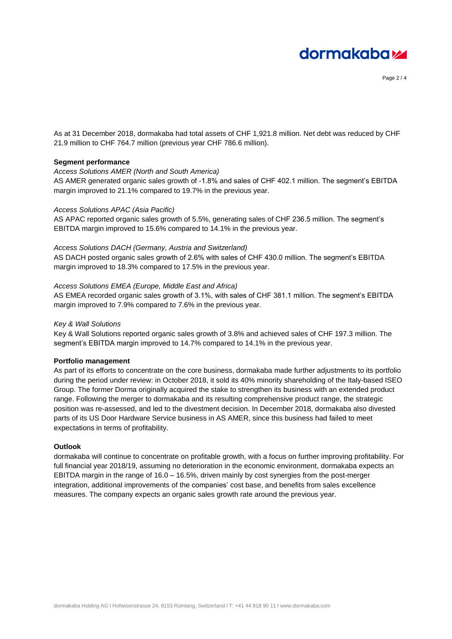

Page 2 / 4

As at 31 December 2018, dormakaba had total assets of CHF 1,921.8 million. Net debt was reduced by CHF 21.9 million to CHF 764.7 million (previous year CHF 786.6 million).

### **Segment performance**

### *Access Solutions AMER (North and South America)*

AS AMER generated organic sales growth of -1.8% and sales of CHF 402.1 million. The segment's EBITDA margin improved to 21.1% compared to 19.7% in the previous year.

#### *Access Solutions APAC (Asia Pacific)*

AS APAC reported organic sales growth of 5.5%, generating sales of CHF 236.5 million. The segment's EBITDA margin improved to 15.6% compared to 14.1% in the previous year.

#### *Access Solutions DACH (Germany, Austria and Switzerland)*

AS DACH posted organic sales growth of 2.6% with sales of CHF 430.0 million. The segment's EBITDA margin improved to 18.3% compared to 17.5% in the previous year.

#### *Access Solutions EMEA (Europe, Middle East and Africa)*

AS EMEA recorded organic sales growth of 3.1%, with sales of CHF 381.1 million. The segment's EBITDA margin improved to 7.9% compared to 7.6% in the previous year.

#### *Key & Wall Solutions*

Key & Wall Solutions reported organic sales growth of 3.8% and achieved sales of CHF 197.3 million. The segment's EBITDA margin improved to 14.7% compared to 14.1% in the previous year.

#### **Portfolio management**

As part of its efforts to concentrate on the core business, dormakaba made further adjustments to its portfolio during the period under review: in October 2018, it sold its 40% minority shareholding of the Italy-based ISEO Group. The former Dorma originally acquired the stake to strengthen its business with an extended product range. Following the merger to dormakaba and its resulting comprehensive product range, the strategic position was re-assessed, and led to the divestment decision. In December 2018, dormakaba also divested parts of its US Door Hardware Service business in AS AMER, since this business had failed to meet expectations in terms of profitability.

#### **Outlook**

dormakaba will continue to concentrate on profitable growth, with a focus on further improving profitability. For full financial year 2018/19, assuming no deterioration in the economic environment, dormakaba expects an EBITDA margin in the range of 16.0 – 16.5%, driven mainly by cost synergies from the post-merger integration, additional improvements of the companies' cost base, and benefits from sales excellence measures. The company expects an organic sales growth rate around the previous year.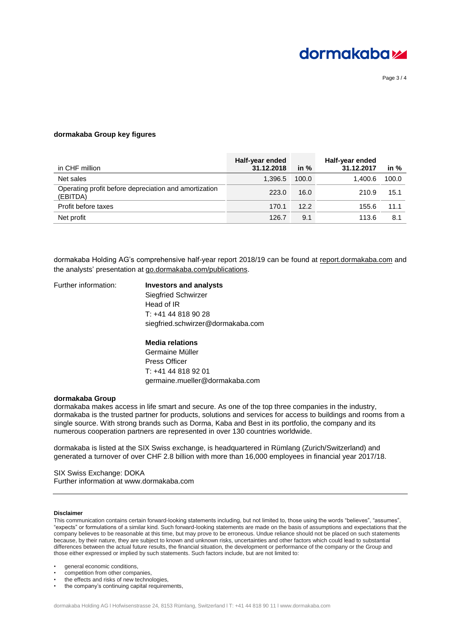

Page 3 / 4

#### **dormakaba Group key figures**

| in CHF million                                                    | Half-year ended<br>31.12.2018 | in $%$ | Half-year ended<br>31.12.2017 | in $%$ |
|-------------------------------------------------------------------|-------------------------------|--------|-------------------------------|--------|
| Net sales                                                         | 1.396.5                       | 100.0  | 1.400.6                       | 100.0  |
| Operating profit before depreciation and amortization<br>(EBITDA) | 223.0                         | 16.0   | 210.9                         | 15.1   |
| Profit before taxes                                               | 170.1                         | 12.2   | 155.6                         | 11.1   |
| Net profit                                                        | 126.7                         | 9.1    | 113.6                         | 8.1    |

dormakaba Holding AG's comprehensive half-year report 2018/19 can be found at [report.dormakaba.com](file:///C:/Users/muelleg1/AppData/Local/Microsoft/Windows/INetCache/Content.Outlook/MVLPR4YM/report.dormakaba.com) and the analysts' presentation at [go.dormakaba.com/public](http://go.dormakaba.com/publikationen)ations.

### Further information: **Investors and analysts**

Siegfried Schwirzer Head of IR  $T: +41, 44, 818, 90, 28$ siegfried.schwirzer@dormakaba.com

#### **Media relations**

Germaine Müller Press Officer T: +41 44 818 92 01 germaine.mueller@dormakaba.com

#### **dormakaba Group**

dormakaba makes access in life smart and secure. As one of the top three companies in the industry, dormakaba is the trusted partner for products, solutions and services for access to buildings and rooms from a single source. With strong brands such as Dorma, Kaba and Best in its portfolio, the company and its numerous cooperation partners are represented in over 130 countries worldwide.

dormakaba is listed at the SIX Swiss exchange, is headquartered in Rümlang (Zurich/Switzerland) and generated a turnover of over CHF 2.8 billion with more than 16,000 employees in financial year 2017/18.

SIX Swiss Exchange: DOKA Further information at [www.dormakaba.com](http://www.dormakaba.com/)

#### **Disclaimer**

This communication contains certain forward-looking statements including, but not limited to, those using the words "believes", "assumes", "expects" or formulations of a similar kind. Such forward-looking statements are made on the basis of assumptions and expectations that the company believes to be reasonable at this time, but may prove to be erroneous. Undue reliance should not be placed on such statements because, by their nature, they are subject to known and unknown risks, uncertainties and other factors which could lead to substantial differences between the actual future results, the financial situation, the development or performance of the company or the Group and those either expressed or implied by such statements. Such factors include, but are not limited to:

- competition from other companies,
- the effects and risks of new technologies,
- the company's continuing capital requirements,

general economic conditions,